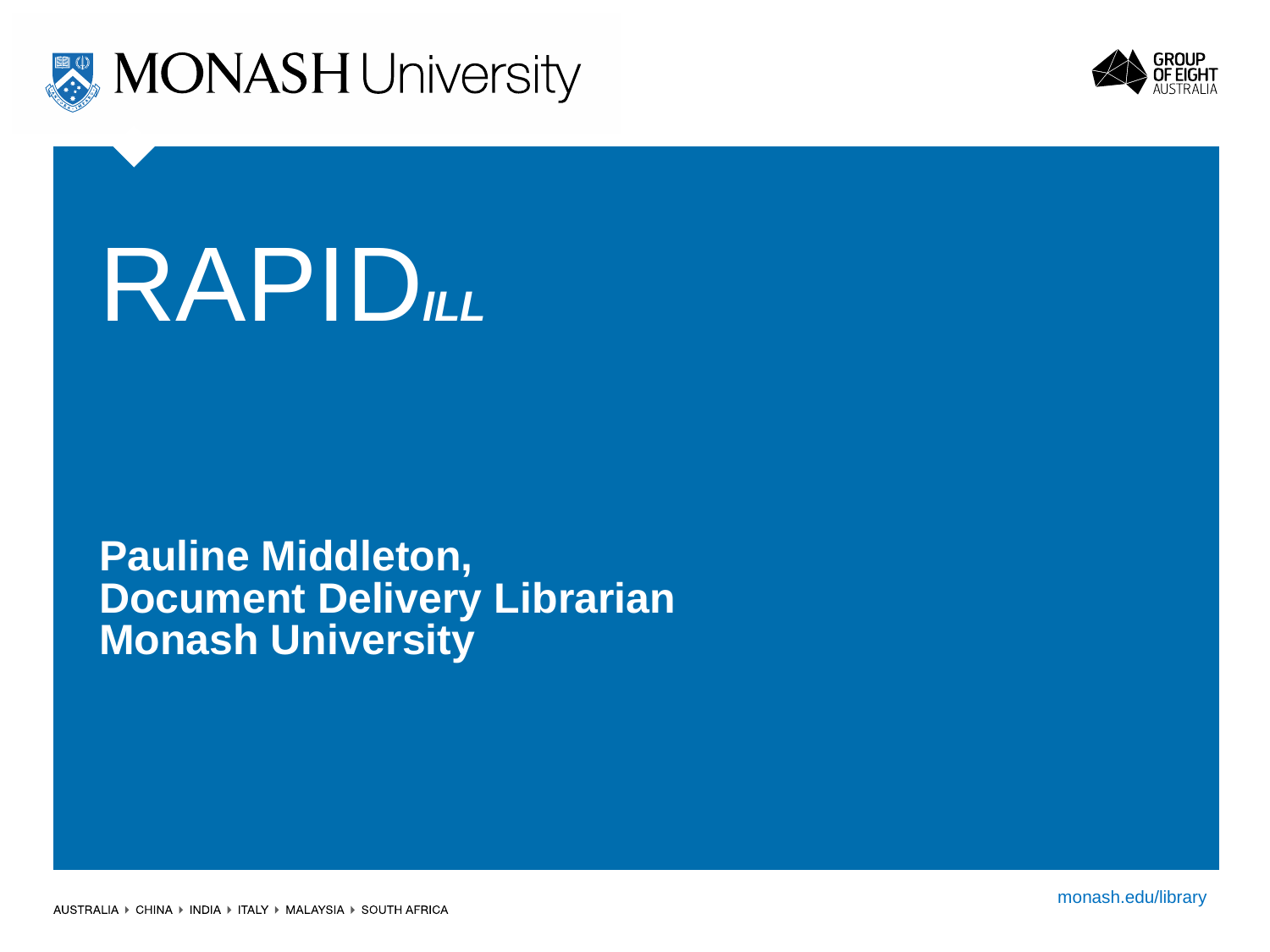



# RAPID*ILL*

#### **Pauline Middleton, Document Delivery Librarian Monash University**

monash.edu monash.edu/library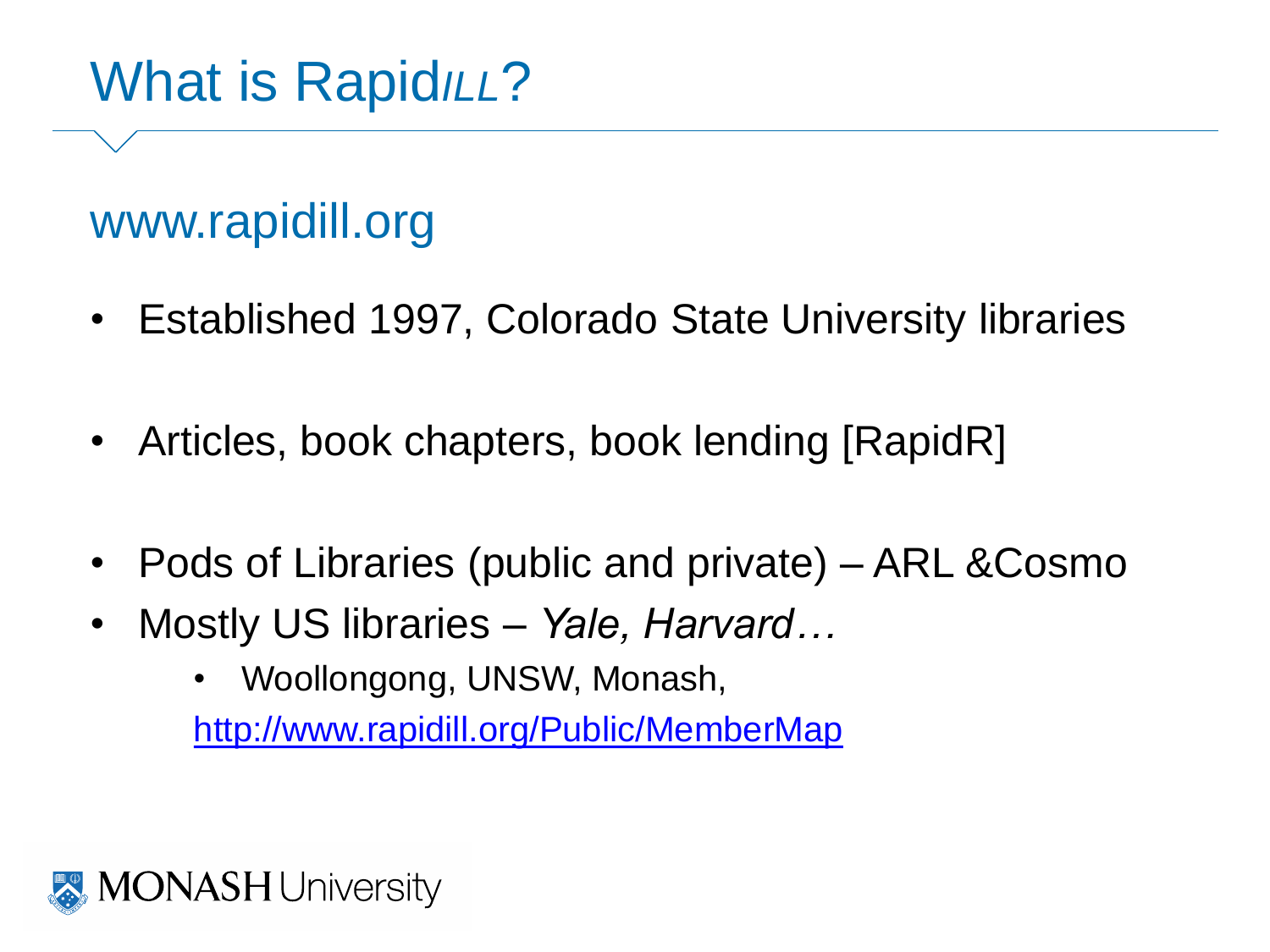## What is Rapid*ILL*?

### www.rapidill.org

- Established 1997, Colorado State University libraries
- Articles, book chapters, book lending [RapidR]
- Pods of Libraries (public and private) ARL & Cosmo
- Mostly US libraries *Yale, Harvard…*
	- Woollongong, UNSW, Monash,

<http://www.rapidill.org/Public/MemberMap>

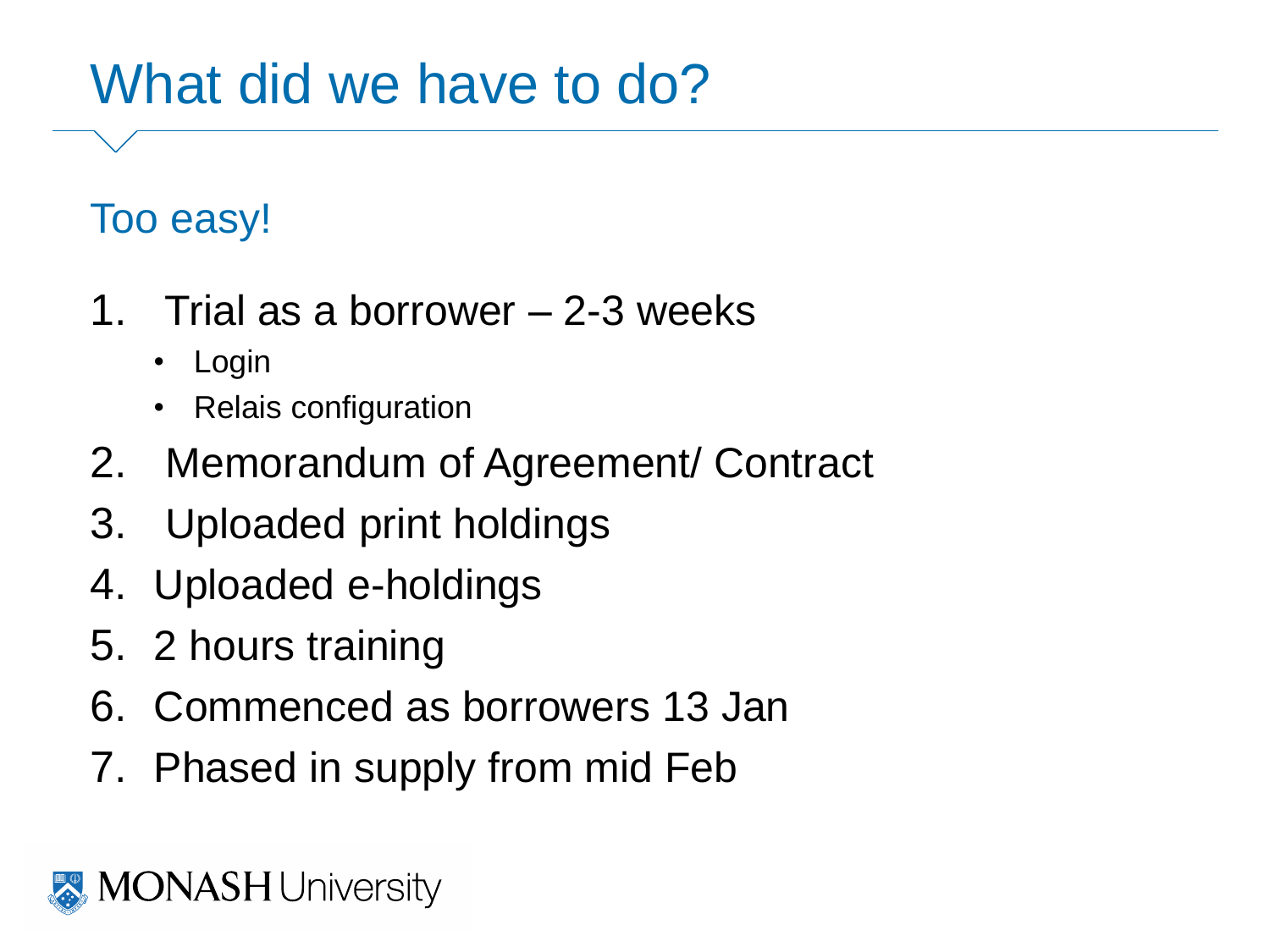## What did we have to do?

#### Too easy!

- 1. Trial as a borrower 2-3 weeks
	- Login
	- Relais configuration
- 2. Memorandum of Agreement/ Contract
- 3. Uploaded print holdings
- 4. Uploaded e-holdings
- 5. 2 hours training
- 6. Commenced as borrowers 13 Jan
- 7. Phased in supply from mid Feb

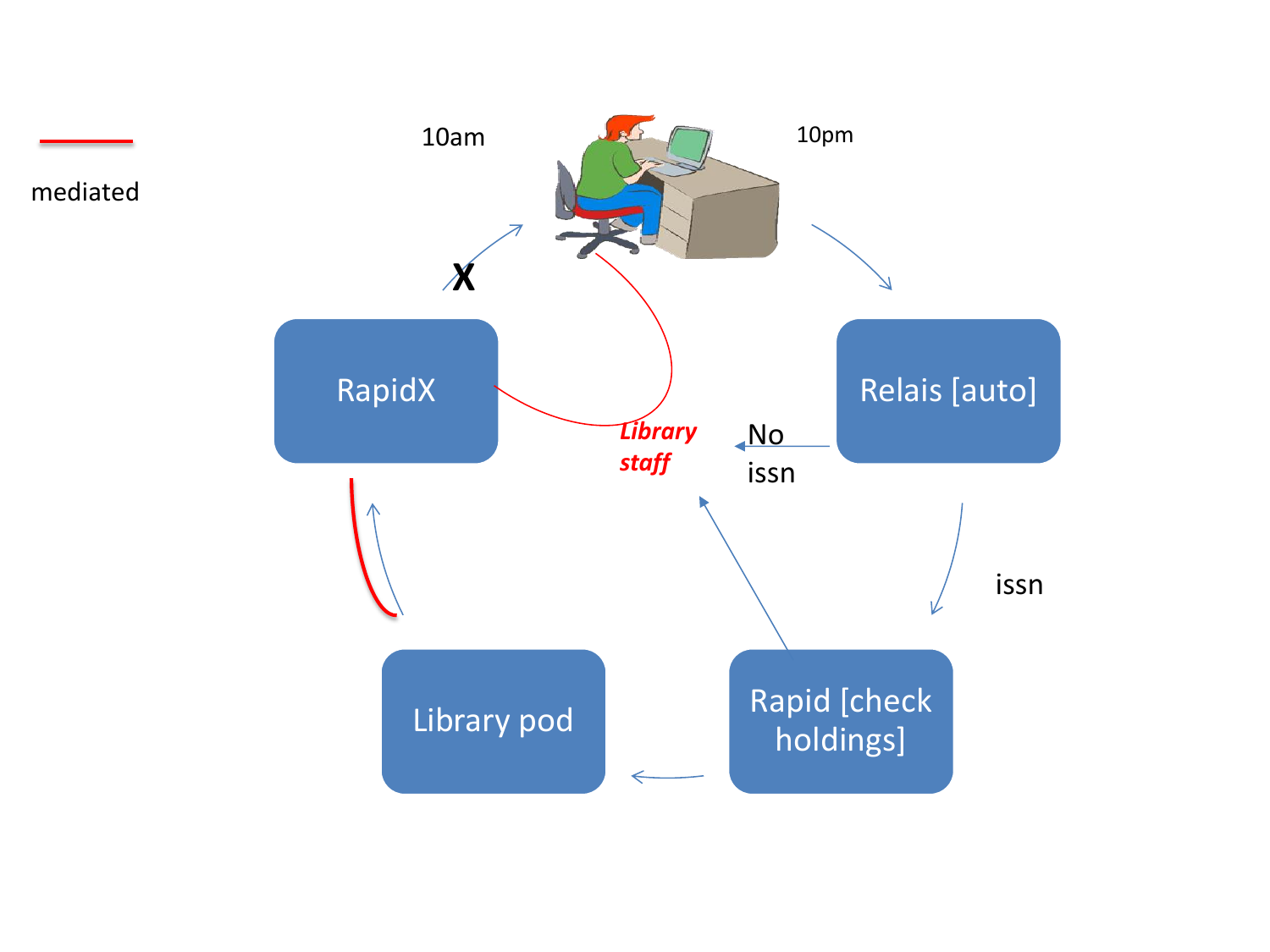

mediated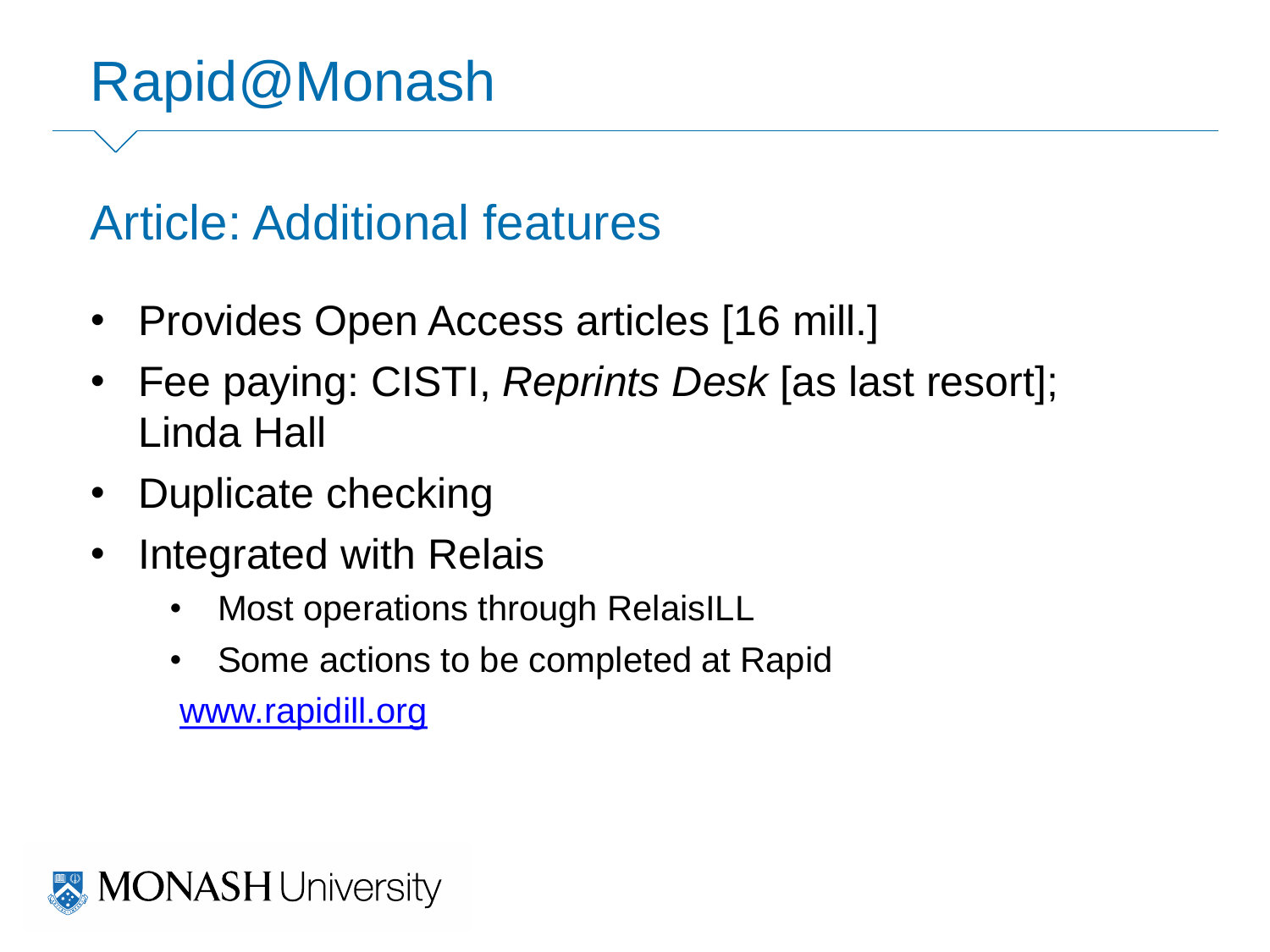## Rapid@Monash

#### Article: Additional features

- Provides Open Access articles [16 mill.]
- Fee paying: CISTI, *Reprints Desk* [as last resort]; Linda Hall
- Duplicate checking
- Integrated with Relais
	- Most operations through RelaisILL
	- Some actions to be completed at Rapid

[www.rapidill.org](http://www.rapidill.org/)

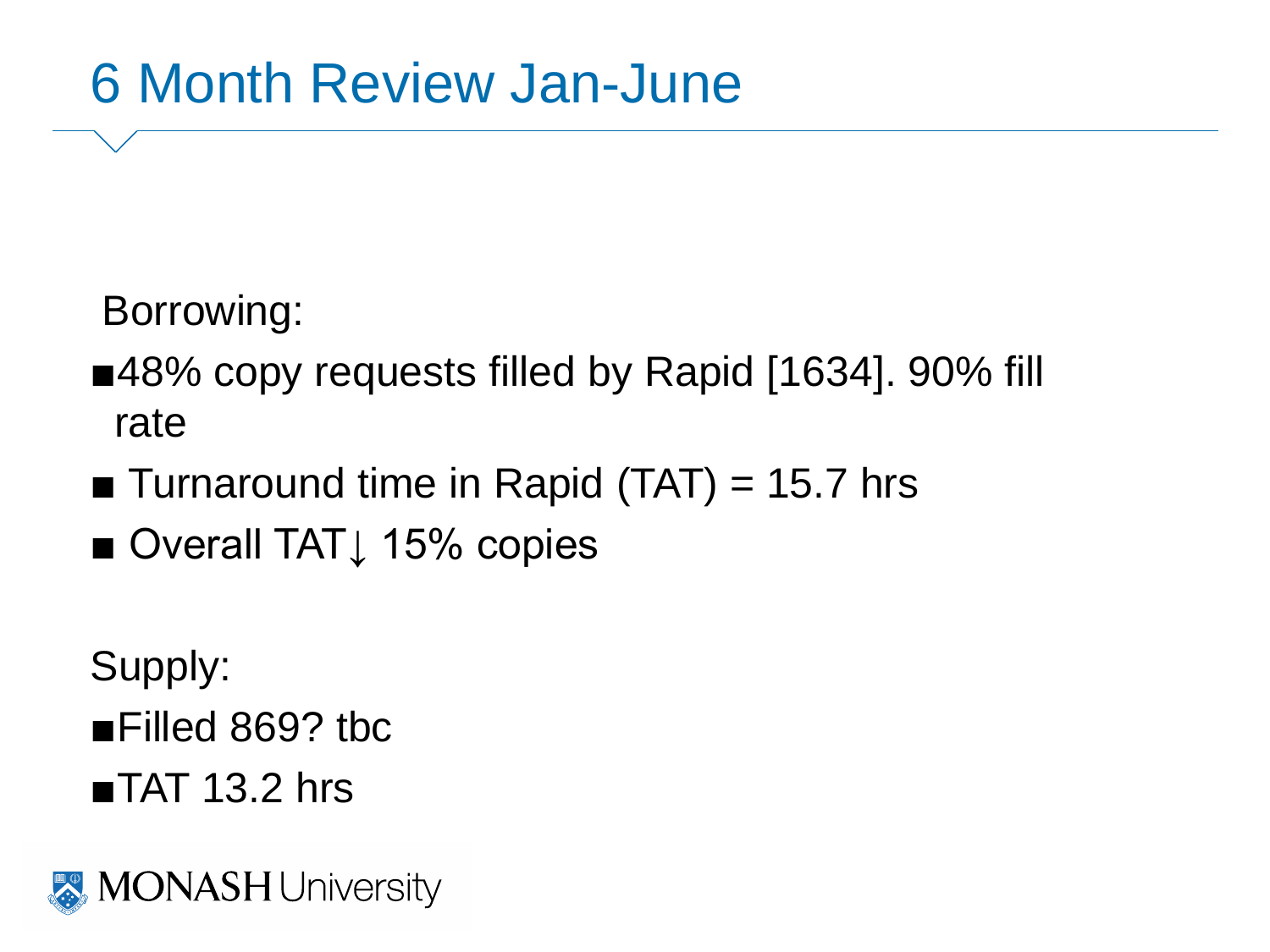## 6 Month Review Jan-June

Borrowing:

- ■48% copy requests filled by Rapid [1634]. 90% fill rate
- **Turnaround time in Rapid (TAT) = 15.7 hrs**
- Overall TAT<sub>↓</sub> 15% copies

Supply: ■Filled 869? tbc

 $\blacksquare$ TAT 13.2 hrs